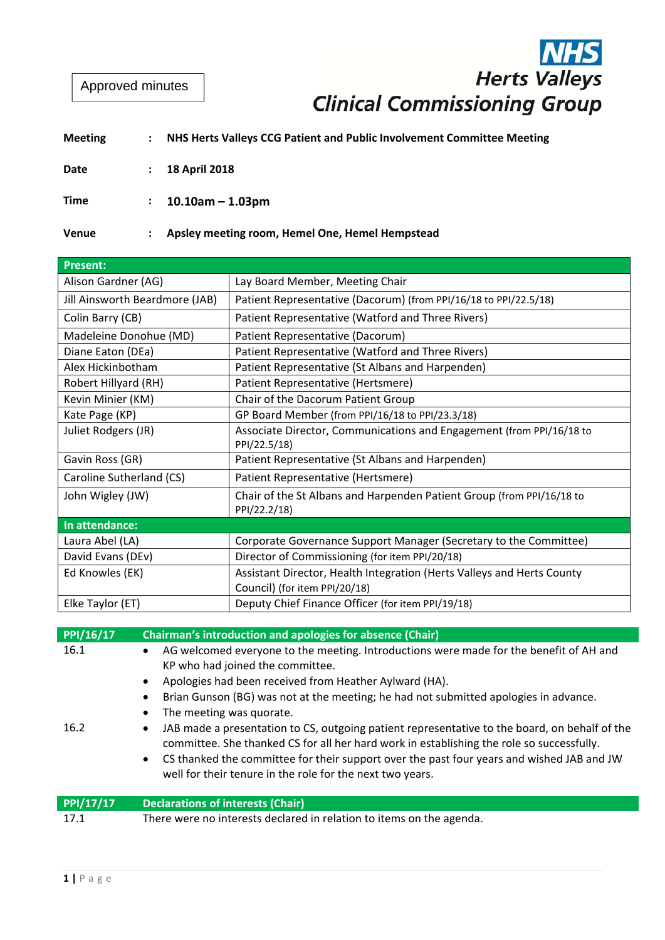Approved minutes

# **Herts Valleys Clinical Commissioning Group**

#### **Meeting : NHS Herts Valleys CCG Patient and Public Involvement Committee Meeting**

**Date : 18 April 2018**

**Time : 10.10am – 1.03pm**

**Venue : Apsley meeting room, Hemel One, Hemel Hempstead**

| <b>Present:</b>                |                                                                                       |
|--------------------------------|---------------------------------------------------------------------------------------|
| Alison Gardner (AG)            | Lay Board Member, Meeting Chair                                                       |
| Jill Ainsworth Beardmore (JAB) | Patient Representative (Dacorum) (from PPI/16/18 to PPI/22.5/18)                      |
| Colin Barry (CB)               | Patient Representative (Watford and Three Rivers)                                     |
| Madeleine Donohue (MD)         | Patient Representative (Dacorum)                                                      |
| Diane Eaton (DEa)              | Patient Representative (Watford and Three Rivers)                                     |
| Alex Hickinbotham              | Patient Representative (St Albans and Harpenden)                                      |
| Robert Hillyard (RH)           | Patient Representative (Hertsmere)                                                    |
| Kevin Minier (KM)              | Chair of the Dacorum Patient Group                                                    |
| Kate Page (KP)                 | GP Board Member (from PPI/16/18 to PPI/23.3/18)                                       |
| Juliet Rodgers (JR)            | Associate Director, Communications and Engagement (from PPI/16/18 to<br>PPI/22.5/18)  |
| Gavin Ross (GR)                | Patient Representative (St Albans and Harpenden)                                      |
| Caroline Sutherland (CS)       | Patient Representative (Hertsmere)                                                    |
| John Wigley (JW)               | Chair of the St Albans and Harpenden Patient Group (from PPI/16/18 to<br>PPI/22.2/18) |
| In attendance:                 |                                                                                       |
| Laura Abel (LA)                | Corporate Governance Support Manager (Secretary to the Committee)                     |
| David Evans (DEv)              | Director of Commissioning (for item PPI/20/18)                                        |
| Ed Knowles (EK)                | Assistant Director, Health Integration (Herts Valleys and Herts County                |
|                                | Council) (for item PPI/20/18)                                                         |
| Elke Taylor (ET)               | Deputy Chief Finance Officer (for item PPI/19/18)                                     |

| PPI/16/17 | <b>Chairman's introduction and apologies for absence (Chair)</b>                                                                                                                                                                                                                                                                                                  |
|-----------|-------------------------------------------------------------------------------------------------------------------------------------------------------------------------------------------------------------------------------------------------------------------------------------------------------------------------------------------------------------------|
| 16.1      | AG welcomed everyone to the meeting. Introductions were made for the benefit of AH and<br>KP who had joined the committee.<br>Apologies had been received from Heather Aylward (HA).<br>Brian Gunson (BG) was not at the meeting; he had not submitted apologies in advance.<br>$\bullet$<br>The meeting was quorate.                                             |
| 16.2      | JAB made a presentation to CS, outgoing patient representative to the board, on behalf of the<br>committee. She thanked CS for all her hard work in establishing the role so successfully.<br>CS thanked the committee for their support over the past four years and wished JAB and JW<br>$\bullet$<br>well for their tenure in the role for the next two years. |
| PPI/17/17 | <b>Declarations of interests (Chair)</b>                                                                                                                                                                                                                                                                                                                          |
| 17.1      | There were no interests declared in relation to items on the agenda.                                                                                                                                                                                                                                                                                              |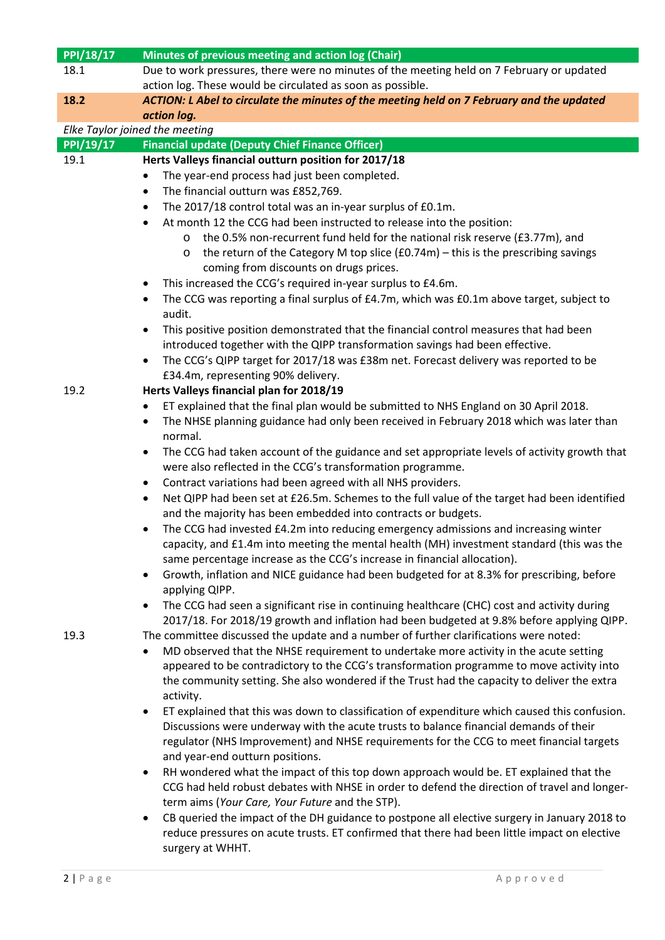| PPI/18/17 | Minutes of previous meeting and action log (Chair)                                                                                                                                                  |
|-----------|-----------------------------------------------------------------------------------------------------------------------------------------------------------------------------------------------------|
| 18.1      | Due to work pressures, there were no minutes of the meeting held on 7 February or updated                                                                                                           |
|           | action log. These would be circulated as soon as possible.                                                                                                                                          |
| 18.2      | ACTION: L Abel to circulate the minutes of the meeting held on 7 February and the updated                                                                                                           |
|           | action log.                                                                                                                                                                                         |
|           | Elke Taylor joined the meeting                                                                                                                                                                      |
| PPI/19/17 | <b>Financial update (Deputy Chief Finance Officer)</b>                                                                                                                                              |
| 19.1      | Herts Valleys financial outturn position for 2017/18                                                                                                                                                |
|           | The year-end process had just been completed.<br>$\bullet$                                                                                                                                          |
|           | The financial outturn was £852,769.<br>$\bullet$                                                                                                                                                    |
|           | The 2017/18 control total was an in-year surplus of £0.1m.<br>٠                                                                                                                                     |
|           | At month 12 the CCG had been instructed to release into the position:<br>٠                                                                                                                          |
|           | the 0.5% non-recurrent fund held for the national risk reserve (£3.77m), and<br>$\circ$                                                                                                             |
|           | the return of the Category M top slice $(£0.74m)$ – this is the prescribing savings<br>$\circ$                                                                                                      |
|           | coming from discounts on drugs prices.                                                                                                                                                              |
|           | This increased the CCG's required in-year surplus to £4.6m.<br>٠                                                                                                                                    |
|           | The CCG was reporting a final surplus of £4.7m, which was £0.1m above target, subject to<br>٠<br>audit.                                                                                             |
|           | This positive position demonstrated that the financial control measures that had been<br>٠                                                                                                          |
|           | introduced together with the QIPP transformation savings had been effective.                                                                                                                        |
|           | The CCG's QIPP target for 2017/18 was £38m net. Forecast delivery was reported to be                                                                                                                |
|           | £34.4m, representing 90% delivery.                                                                                                                                                                  |
| 19.2      | Herts Valleys financial plan for 2018/19                                                                                                                                                            |
|           | ET explained that the final plan would be submitted to NHS England on 30 April 2018.<br>٠                                                                                                           |
|           | The NHSE planning guidance had only been received in February 2018 which was later than<br>٠                                                                                                        |
|           | normal.                                                                                                                                                                                             |
|           | The CCG had taken account of the guidance and set appropriate levels of activity growth that                                                                                                        |
|           | were also reflected in the CCG's transformation programme.                                                                                                                                          |
|           | Contract variations had been agreed with all NHS providers.<br>٠                                                                                                                                    |
|           | Net QIPP had been set at £26.5m. Schemes to the full value of the target had been identified<br>$\bullet$                                                                                           |
|           | and the majority has been embedded into contracts or budgets.                                                                                                                                       |
|           | The CCG had invested £4.2m into reducing emergency admissions and increasing winter                                                                                                                 |
|           | capacity, and £1.4m into meeting the mental health (MH) investment standard (this was the<br>same percentage increase as the CCG's increase in financial allocation).                               |
|           | Growth, inflation and NICE guidance had been budgeted for at 8.3% for prescribing, before<br>٠                                                                                                      |
|           | applying QIPP.                                                                                                                                                                                      |
|           | The CCG had seen a significant rise in continuing healthcare (CHC) cost and activity during<br>$\bullet$                                                                                            |
|           | 2017/18. For 2018/19 growth and inflation had been budgeted at 9.8% before applying QIPP.                                                                                                           |
| 19.3      | The committee discussed the update and a number of further clarifications were noted:                                                                                                               |
|           | MD observed that the NHSE requirement to undertake more activity in the acute setting<br>$\bullet$                                                                                                  |
|           | appeared to be contradictory to the CCG's transformation programme to move activity into                                                                                                            |
|           | the community setting. She also wondered if the Trust had the capacity to deliver the extra                                                                                                         |
|           | activity.                                                                                                                                                                                           |
|           | ET explained that this was down to classification of expenditure which caused this confusion.<br>$\bullet$<br>Discussions were underway with the acute trusts to balance financial demands of their |
|           | regulator (NHS Improvement) and NHSE requirements for the CCG to meet financial targets                                                                                                             |
|           | and year-end outturn positions.                                                                                                                                                                     |
|           | RH wondered what the impact of this top down approach would be. ET explained that the<br>$\bullet$                                                                                                  |
|           | CCG had held robust debates with NHSE in order to defend the direction of travel and longer-                                                                                                        |
|           | term aims (Your Care, Your Future and the STP).                                                                                                                                                     |
|           | CB queried the impact of the DH guidance to postpone all elective surgery in January 2018 to<br>٠                                                                                                   |
|           | reduce pressures on acute trusts. ET confirmed that there had been little impact on elective                                                                                                        |
|           | surgery at WHHT.                                                                                                                                                                                    |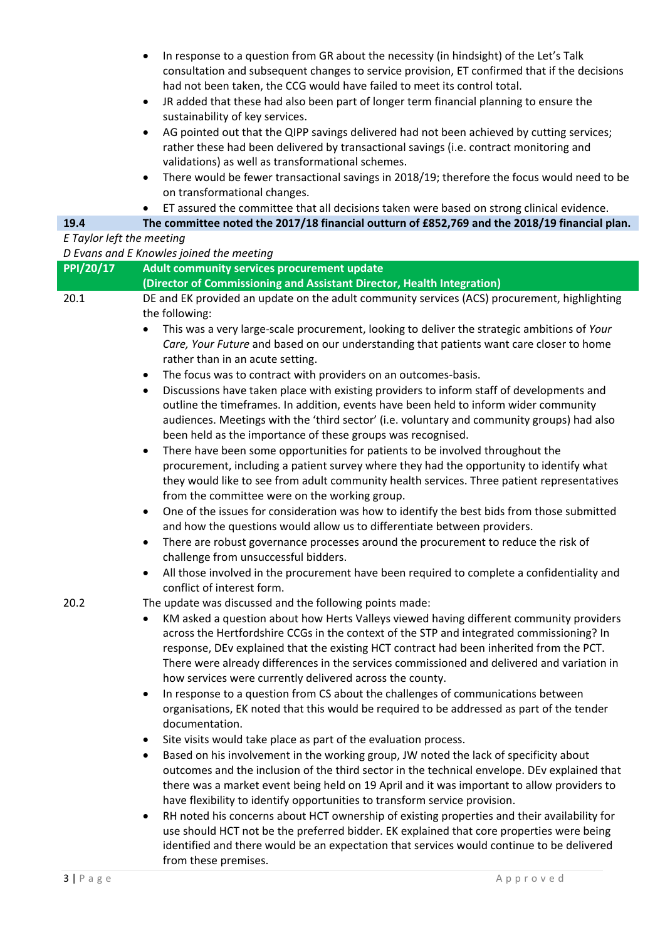- In response to a question from GR about the necessity (in hindsight) of the Let's Talk consultation and subsequent changes to service provision, ET confirmed that if the decisions had not been taken, the CCG would have failed to meet its control total.
- JR added that these had also been part of longer term financial planning to ensure the sustainability of key services.
- AG pointed out that the QIPP savings delivered had not been achieved by cutting services; rather these had been delivered by transactional savings (i.e. contract monitoring and validations) as well as transformational schemes.
- There would be fewer transactional savings in 2018/19; therefore the focus would need to be on transformational changes.
	- ET assured the committee that all decisions taken were based on strong clinical evidence.

#### **19.4 The committee noted the 2017/18 financial outturn of £852,769 and the 2018/19 financial plan.**

#### *E Taylor left the meeting*

| D Evans and E Knowles joined the meeting |                                                                                                                                                                                                                                                                                                                                                                                                                                                       |  |
|------------------------------------------|-------------------------------------------------------------------------------------------------------------------------------------------------------------------------------------------------------------------------------------------------------------------------------------------------------------------------------------------------------------------------------------------------------------------------------------------------------|--|
| PPI/20/17                                | Adult community services procurement update                                                                                                                                                                                                                                                                                                                                                                                                           |  |
|                                          | (Director of Commissioning and Assistant Director, Health Integration)                                                                                                                                                                                                                                                                                                                                                                                |  |
| 20.1                                     | DE and EK provided an update on the adult community services (ACS) procurement, highlighting<br>the following:<br>This was a very large-scale procurement, looking to deliver the strategic ambitions of Your<br>Care, Your Future and based on our understanding that patients want care closer to home<br>rather than in an acute setting.                                                                                                          |  |
|                                          | The focus was to contract with providers on an outcomes-basis.<br>$\bullet$<br>Discussions have taken place with existing providers to inform staff of developments and<br>$\bullet$<br>outline the timeframes. In addition, events have been held to inform wider community<br>audiences. Meetings with the 'third sector' (i.e. voluntary and community groups) had also<br>been held as the importance of these groups was recognised.             |  |
|                                          | There have been some opportunities for patients to be involved throughout the<br>$\bullet$<br>procurement, including a patient survey where they had the opportunity to identify what<br>they would like to see from adult community health services. Three patient representatives<br>from the committee were on the working group.                                                                                                                  |  |
|                                          | One of the issues for consideration was how to identify the best bids from those submitted<br>$\bullet$<br>and how the questions would allow us to differentiate between providers.                                                                                                                                                                                                                                                                   |  |
|                                          | There are robust governance processes around the procurement to reduce the risk of<br>٠<br>challenge from unsuccessful bidders.                                                                                                                                                                                                                                                                                                                       |  |
|                                          | All those involved in the procurement have been required to complete a confidentiality and<br>$\bullet$<br>conflict of interest form.                                                                                                                                                                                                                                                                                                                 |  |
| 20.2                                     | The update was discussed and the following points made:                                                                                                                                                                                                                                                                                                                                                                                               |  |
|                                          | KM asked a question about how Herts Valleys viewed having different community providers<br>$\bullet$<br>across the Hertfordshire CCGs in the context of the STP and integrated commissioning? In<br>response, DEv explained that the existing HCT contract had been inherited from the PCT.<br>There were already differences in the services commissioned and delivered and variation in<br>how services were currently delivered across the county. |  |
|                                          | In response to a question from CS about the challenges of communications between<br>$\bullet$<br>organisations, EK noted that this would be required to be addressed as part of the tender<br>documentation.                                                                                                                                                                                                                                          |  |
|                                          | Site visits would take place as part of the evaluation process.<br>Based on his involvement in the working group, JW noted the lack of specificity about<br>outcomes and the inclusion of the third sector in the technical envelope. DEv explained that<br>there was a market event being held on 19 April and it was important to allow providers to<br>have flexibility to identify opportunities to transform service provision.                  |  |
|                                          | RH noted his concerns about HCT ownership of existing properties and their availability for<br>٠<br>use should HCT not be the preferred bidder. EK explained that core properties were being<br>identified and there would be an expectation that services would continue to be delivered<br>from these premises.                                                                                                                                     |  |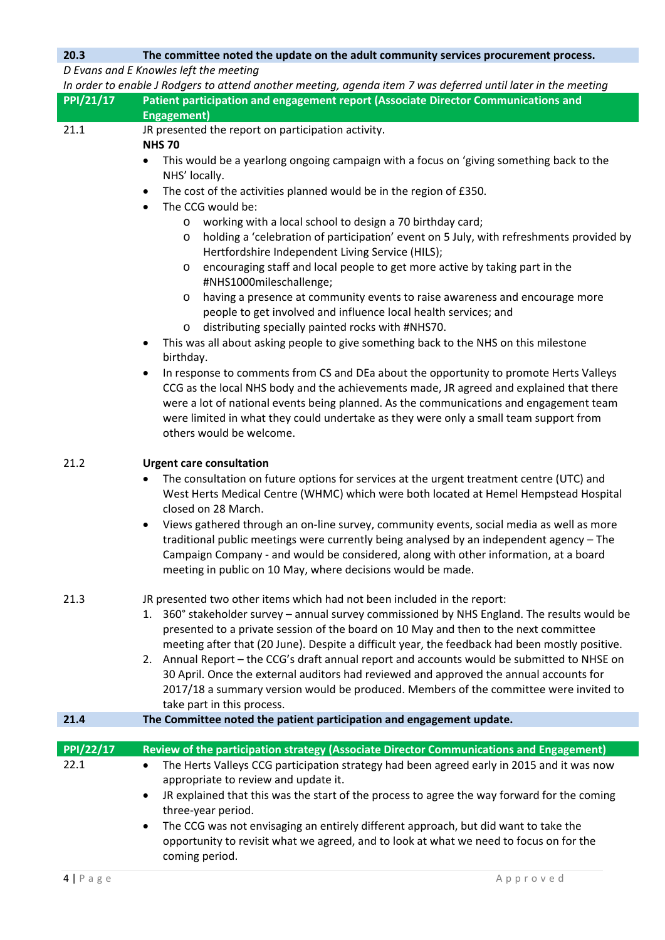## **20.3 The committee noted the update on the adult community services procurement process.**

*D Evans and E Knowles left the meeting*

| PPI/21/17         | In order to enable J Rodgers to attend another meeting, agenda item 7 was deferred until later in the meeting<br>Patient participation and engagement report (Associate Director Communications and |
|-------------------|-----------------------------------------------------------------------------------------------------------------------------------------------------------------------------------------------------|
|                   | <b>Engagement)</b>                                                                                                                                                                                  |
| 21.1              | JR presented the report on participation activity.                                                                                                                                                  |
|                   | <b>NHS 70</b>                                                                                                                                                                                       |
|                   | This would be a yearlong ongoing campaign with a focus on 'giving something back to the<br>$\bullet$                                                                                                |
|                   | NHS' locally.                                                                                                                                                                                       |
|                   | The cost of the activities planned would be in the region of £350.<br>$\bullet$                                                                                                                     |
|                   | The CCG would be:<br>$\bullet$                                                                                                                                                                      |
|                   | working with a local school to design a 70 birthday card;<br>$\circ$                                                                                                                                |
|                   | holding a 'celebration of participation' event on 5 July, with refreshments provided by<br>$\circ$                                                                                                  |
|                   | Hertfordshire Independent Living Service (HILS);                                                                                                                                                    |
|                   | encouraging staff and local people to get more active by taking part in the<br>$\circ$                                                                                                              |
|                   | #NHS1000mileschallenge;                                                                                                                                                                             |
|                   | having a presence at community events to raise awareness and encourage more                                                                                                                         |
|                   | O<br>people to get involved and influence local health services; and                                                                                                                                |
|                   | distributing specially painted rocks with #NHS70.                                                                                                                                                   |
|                   | $\circ$<br>This was all about asking people to give something back to the NHS on this milestone                                                                                                     |
|                   | $\bullet$                                                                                                                                                                                           |
|                   | birthday.                                                                                                                                                                                           |
|                   | In response to comments from CS and DEa about the opportunity to promote Herts Valleys<br>$\bullet$                                                                                                 |
|                   | CCG as the local NHS body and the achievements made, JR agreed and explained that there                                                                                                             |
|                   | were a lot of national events being planned. As the communications and engagement team                                                                                                              |
|                   | were limited in what they could undertake as they were only a small team support from<br>others would be welcome.                                                                                   |
|                   |                                                                                                                                                                                                     |
| 21.2              | <b>Urgent care consultation</b>                                                                                                                                                                     |
|                   | The consultation on future options for services at the urgent treatment centre (UTC) and<br>$\bullet$                                                                                               |
|                   | West Herts Medical Centre (WHMC) which were both located at Hemel Hempstead Hospital                                                                                                                |
|                   | closed on 28 March.                                                                                                                                                                                 |
|                   | Views gathered through an on-line survey, community events, social media as well as more                                                                                                            |
|                   | $\bullet$<br>traditional public meetings were currently being analysed by an independent agency - The                                                                                               |
|                   | Campaign Company - and would be considered, along with other information, at a board                                                                                                                |
|                   | meeting in public on 10 May, where decisions would be made.                                                                                                                                         |
|                   |                                                                                                                                                                                                     |
| 21.3              | JR presented two other items which had not been included in the report:                                                                                                                             |
|                   | 1. 360° stakeholder survey – annual survey commissioned by NHS England. The results would be                                                                                                        |
|                   | presented to a private session of the board on 10 May and then to the next committee                                                                                                                |
|                   | meeting after that (20 June). Despite a difficult year, the feedback had been mostly positive.                                                                                                      |
|                   | 2. Annual Report - the CCG's draft annual report and accounts would be submitted to NHSE on                                                                                                         |
|                   |                                                                                                                                                                                                     |
|                   |                                                                                                                                                                                                     |
|                   | 30 April. Once the external auditors had reviewed and approved the annual accounts for                                                                                                              |
|                   | 2017/18 a summary version would be produced. Members of the committee were invited to                                                                                                               |
|                   | take part in this process.                                                                                                                                                                          |
| 21.4              | The Committee noted the patient participation and engagement update.                                                                                                                                |
|                   |                                                                                                                                                                                                     |
| PPI/22/17<br>22.1 | Review of the participation strategy (Associate Director Communications and Engagement)<br>$\bullet$                                                                                                |
|                   | The Herts Valleys CCG participation strategy had been agreed early in 2015 and it was now                                                                                                           |
|                   | appropriate to review and update it.<br>$\bullet$                                                                                                                                                   |
|                   | JR explained that this was the start of the process to agree the way forward for the coming                                                                                                         |
|                   | three-year period.                                                                                                                                                                                  |
|                   | The CCG was not envisaging an entirely different approach, but did want to take the<br>$\bullet$<br>opportunity to revisit what we agreed, and to look at what we need to focus on for the          |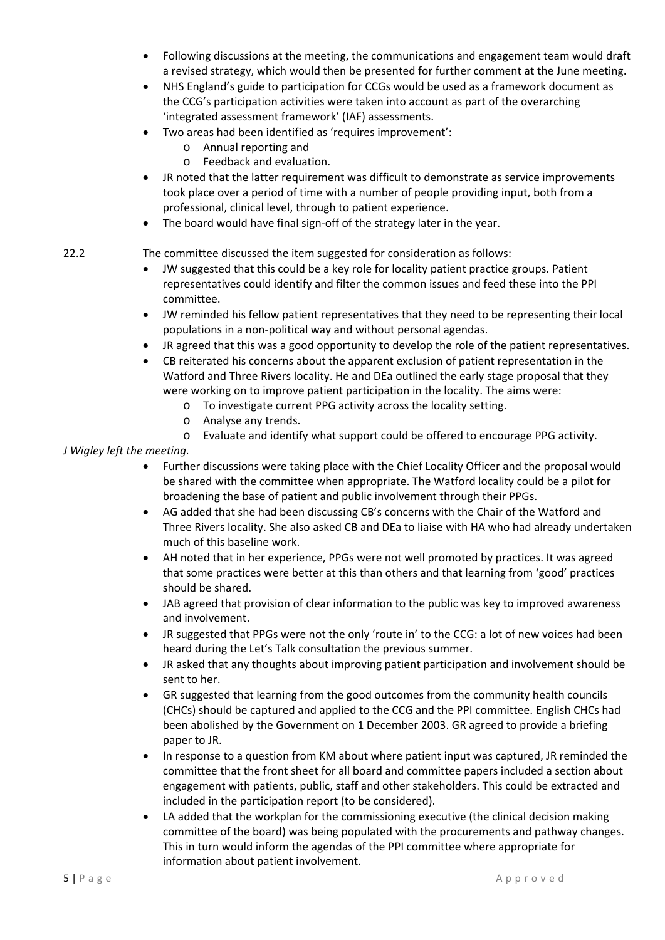- Following discussions at the meeting, the communications and engagement team would draft a revised strategy, which would then be presented for further comment at the June meeting.
- NHS England's guide to participation for CCGs would be used as a framework document as the CCG's participation activities were taken into account as part of the overarching 'integrated assessment framework' (IAF) assessments.
- Two areas had been identified as 'requires improvement':
	- o Annual reporting and
	- o Feedback and evaluation.
- JR noted that the latter requirement was difficult to demonstrate as service improvements took place over a period of time with a number of people providing input, both from a professional, clinical level, through to patient experience.
- The board would have final sign-off of the strategy later in the year.

### 22.2 The committee discussed the item suggested for consideration as follows:

- JW suggested that this could be a key role for locality patient practice groups. Patient representatives could identify and filter the common issues and feed these into the PPI committee.
- JW reminded his fellow patient representatives that they need to be representing their local populations in a non‐political way and without personal agendas.
- JR agreed that this was a good opportunity to develop the role of the patient representatives.
- CB reiterated his concerns about the apparent exclusion of patient representation in the Watford and Three Rivers locality. He and DEa outlined the early stage proposal that they were working on to improve patient participation in the locality. The aims were:
	- o To investigate current PPG activity across the locality setting.
	- o Analyse any trends.
	- o Evaluate and identify what support could be offered to encourage PPG activity.

*J Wigley left the meeting.*

- Further discussions were taking place with the Chief Locality Officer and the proposal would be shared with the committee when appropriate. The Watford locality could be a pilot for broadening the base of patient and public involvement through their PPGs.
- AG added that she had been discussing CB's concerns with the Chair of the Watford and Three Rivers locality. She also asked CB and DEa to liaise with HA who had already undertaken much of this baseline work.
- AH noted that in her experience, PPGs were not well promoted by practices. It was agreed that some practices were better at this than others and that learning from 'good' practices should be shared.
- JAB agreed that provision of clear information to the public was key to improved awareness and involvement.
- JR suggested that PPGs were not the only 'route in' to the CCG: a lot of new voices had been heard during the Let's Talk consultation the previous summer.
- JR asked that any thoughts about improving patient participation and involvement should be sent to her.
- GR suggested that learning from the good outcomes from the community health councils (CHCs) should be captured and applied to the CCG and the PPI committee. English CHCs had been abolished by the Government on 1 December 2003. GR agreed to provide a briefing paper to JR.
- In response to a question from KM about where patient input was captured, JR reminded the committee that the front sheet for all board and committee papers included a section about engagement with patients, public, staff and other stakeholders. This could be extracted and included in the participation report (to be considered).
- LA added that the workplan for the commissioning executive (the clinical decision making committee of the board) was being populated with the procurements and pathway changes. This in turn would inform the agendas of the PPI committee where appropriate for information about patient involvement.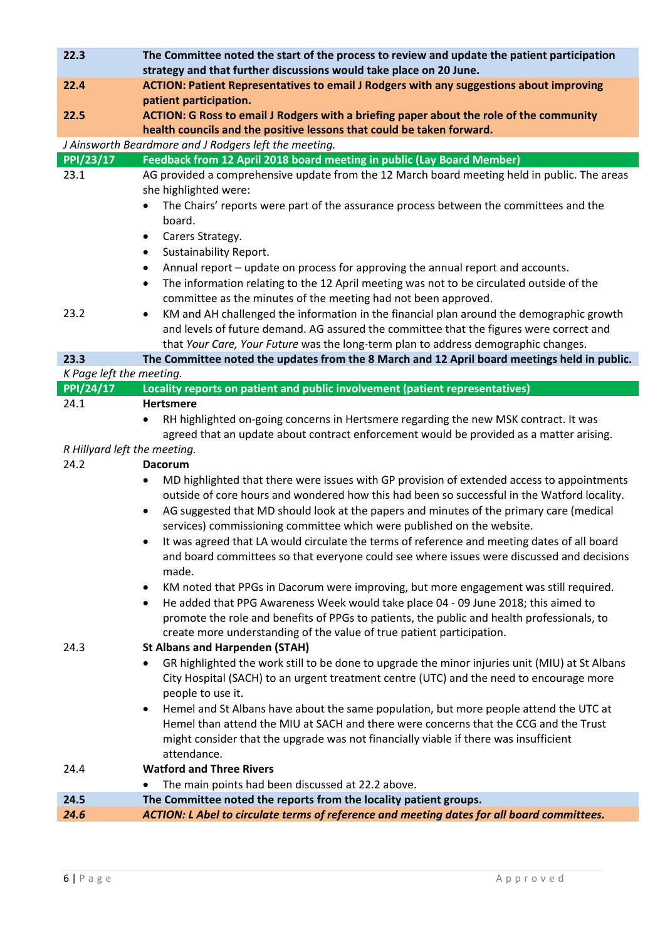| 22.3                         | The Committee noted the start of the process to review and update the patient participation<br>strategy and that further discussions would take place on 20 June. |
|------------------------------|-------------------------------------------------------------------------------------------------------------------------------------------------------------------|
| 22.4                         | ACTION: Patient Representatives to email J Rodgers with any suggestions about improving                                                                           |
|                              | patient participation.                                                                                                                                            |
| 22.5                         | ACTION: G Ross to email J Rodgers with a briefing paper about the role of the community                                                                           |
|                              | health councils and the positive lessons that could be taken forward.                                                                                             |
|                              | J Ainsworth Beardmore and J Rodgers left the meeting.                                                                                                             |
| PPI/23/17                    | Feedback from 12 April 2018 board meeting in public (Lay Board Member)                                                                                            |
| 23.1                         | AG provided a comprehensive update from the 12 March board meeting held in public. The areas                                                                      |
|                              | she highlighted were:                                                                                                                                             |
|                              | The Chairs' reports were part of the assurance process between the committees and the                                                                             |
|                              | board.                                                                                                                                                            |
|                              | Carers Strategy.<br>٠                                                                                                                                             |
|                              | Sustainability Report.<br>$\bullet$                                                                                                                               |
|                              | Annual report – update on process for approving the annual report and accounts.<br>٠                                                                              |
|                              | The information relating to the 12 April meeting was not to be circulated outside of the<br>$\bullet$                                                             |
|                              | committee as the minutes of the meeting had not been approved.                                                                                                    |
| 23.2                         | KM and AH challenged the information in the financial plan around the demographic growth<br>$\bullet$                                                             |
|                              | and levels of future demand. AG assured the committee that the figures were correct and                                                                           |
|                              | that Your Care, Your Future was the long-term plan to address demographic changes.                                                                                |
| 23.3                         | The Committee noted the updates from the 8 March and 12 April board meetings held in public.                                                                      |
| K Page left the meeting.     |                                                                                                                                                                   |
| PPI/24/17                    | Locality reports on patient and public involvement (patient representatives)                                                                                      |
| 24.1                         | <b>Hertsmere</b>                                                                                                                                                  |
|                              | RH highlighted on-going concerns in Hertsmere regarding the new MSK contract. It was<br>$\bullet$                                                                 |
|                              | agreed that an update about contract enforcement would be provided as a matter arising.                                                                           |
| R Hillyard left the meeting. |                                                                                                                                                                   |
| 24.2                         | <b>Dacorum</b>                                                                                                                                                    |
|                              | MD highlighted that there were issues with GP provision of extended access to appointments<br>$\bullet$                                                           |
|                              | outside of core hours and wondered how this had been so successful in the Watford locality.                                                                       |
|                              | AG suggested that MD should look at the papers and minutes of the primary care (medical<br>$\bullet$                                                              |
|                              | services) commissioning committee which were published on the website.                                                                                            |
|                              | It was agreed that LA would circulate the terms of reference and meeting dates of all board                                                                       |
|                              | and board committees so that everyone could see where issues were discussed and decisions                                                                         |
|                              | made.                                                                                                                                                             |
|                              | KM noted that PPGs in Dacorum were improving, but more engagement was still required.<br>$\bullet$                                                                |
|                              | He added that PPG Awareness Week would take place 04 - 09 June 2018; this aimed to<br>٠                                                                           |
|                              | promote the role and benefits of PPGs to patients, the public and health professionals, to                                                                        |
|                              | create more understanding of the value of true patient participation.                                                                                             |
| 24.3                         | <b>St Albans and Harpenden (STAH)</b>                                                                                                                             |
|                              | GR highlighted the work still to be done to upgrade the minor injuries unit (MIU) at St Albans                                                                    |
|                              | City Hospital (SACH) to an urgent treatment centre (UTC) and the need to encourage more                                                                           |
|                              | people to use it.                                                                                                                                                 |
|                              | Hemel and St Albans have about the same population, but more people attend the UTC at<br>٠                                                                        |
|                              | Hemel than attend the MIU at SACH and there were concerns that the CCG and the Trust                                                                              |
|                              | might consider that the upgrade was not financially viable if there was insufficient                                                                              |
|                              | attendance.                                                                                                                                                       |
| 24.4                         | <b>Watford and Three Rivers</b>                                                                                                                                   |
|                              | The main points had been discussed at 22.2 above.                                                                                                                 |
| 24.5                         | The Committee noted the reports from the locality patient groups.                                                                                                 |
|                              |                                                                                                                                                                   |
| 24.6                         | ACTION: L Abel to circulate terms of reference and meeting dates for all board committees.                                                                        |